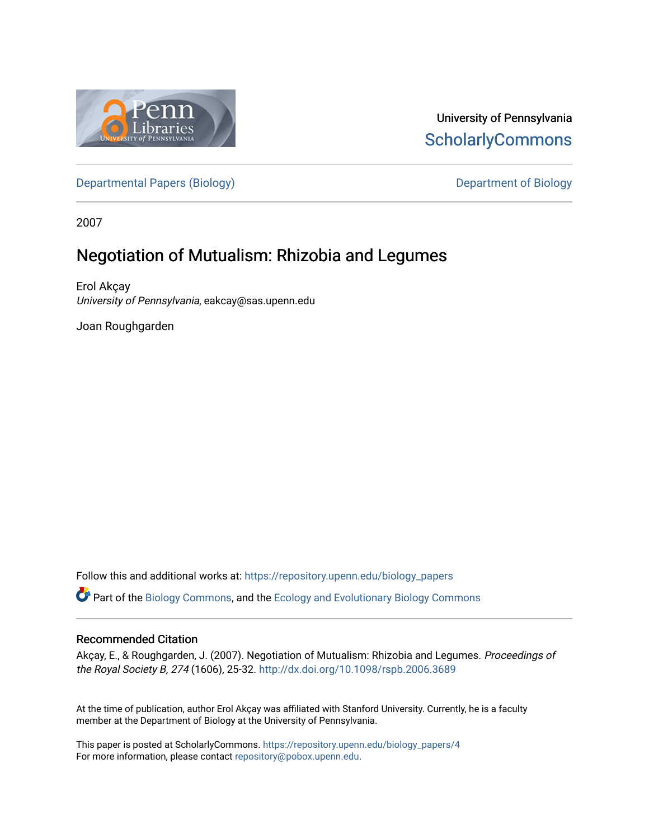

University of Pennsylvania **ScholarlyCommons** 

[Departmental Papers \(Biology\)](https://repository.upenn.edu/biology_papers) and Department of Biology

2007

## Negotiation of Mutualism: Rhizobia and Legumes

Erol Akçay University of Pennsylvania, eakcay@sas.upenn.edu

Joan Roughgarden

Follow this and additional works at: [https://repository.upenn.edu/biology\\_papers](https://repository.upenn.edu/biology_papers?utm_source=repository.upenn.edu%2Fbiology_papers%2F4&utm_medium=PDF&utm_campaign=PDFCoverPages) 

Part of the [Biology Commons,](http://network.bepress.com/hgg/discipline/41?utm_source=repository.upenn.edu%2Fbiology_papers%2F4&utm_medium=PDF&utm_campaign=PDFCoverPages) and the [Ecology and Evolutionary Biology Commons](http://network.bepress.com/hgg/discipline/14?utm_source=repository.upenn.edu%2Fbiology_papers%2F4&utm_medium=PDF&utm_campaign=PDFCoverPages) 

### Recommended Citation

Akçay, E., & Roughgarden, J. (2007). Negotiation of Mutualism: Rhizobia and Legumes. Proceedings of the Royal Society B, 274 (1606), 25-32. <http://dx.doi.org/10.1098/rspb.2006.3689>

At the time of publication, author Erol Akçay was affiliated with Stanford University. Currently, he is a faculty member at the Department of Biology at the University of Pennsylvania.

This paper is posted at ScholarlyCommons. [https://repository.upenn.edu/biology\\_papers/4](https://repository.upenn.edu/biology_papers/4) For more information, please contact [repository@pobox.upenn.edu.](mailto:repository@pobox.upenn.edu)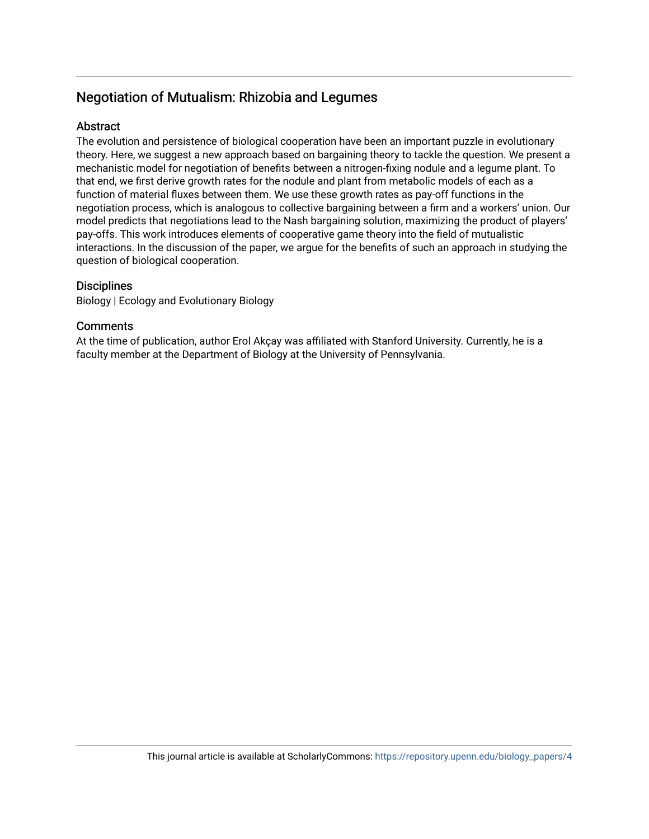## Negotiation of Mutualism: Rhizobia and Legumes

## Abstract

The evolution and persistence of biological cooperation have been an important puzzle in evolutionary theory. Here, we suggest a new approach based on bargaining theory to tackle the question. We present a mechanistic model for negotiation of benefits between a nitrogen-fixing nodule and a legume plant. To that end, we first derive growth rates for the nodule and plant from metabolic models of each as a function of material fluxes between them. We use these growth rates as pay-off functions in the negotiation process, which is analogous to collective bargaining between a firm and a workers' union. Our model predicts that negotiations lead to the Nash bargaining solution, maximizing the product of players' pay-offs. This work introduces elements of cooperative game theory into the field of mutualistic interactions. In the discussion of the paper, we argue for the benefits of such an approach in studying the question of biological cooperation.

## **Disciplines**

Biology | Ecology and Evolutionary Biology

### **Comments**

At the time of publication, author Erol Akçay was affiliated with Stanford University. Currently, he is a faculty member at the Department of Biology at the University of Pennsylvania.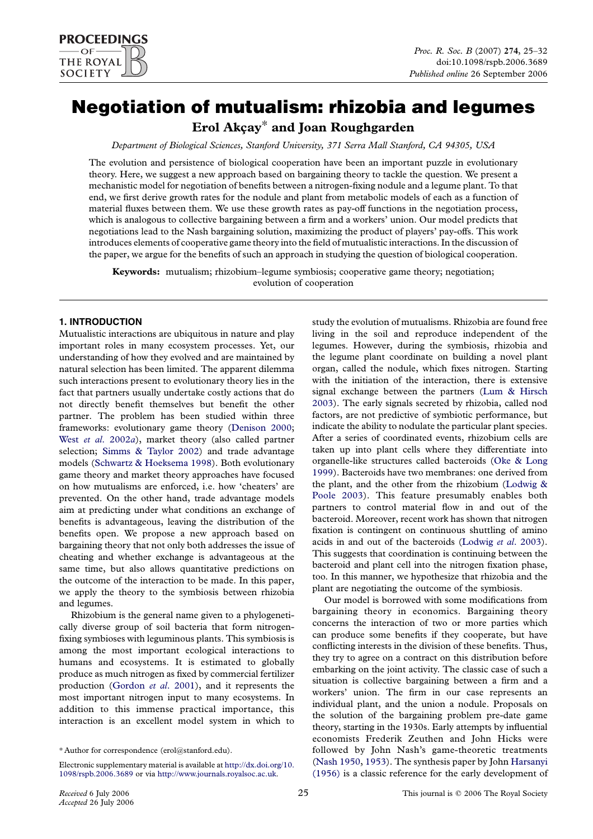

# Negotiation of mutualism: rhizobia and legumes

Erol Akcay<sup>\*</sup> and Joan Roughgarden

Department of Biological Sciences, Stanford University, 371 Serra Mall Stanford, CA 94305, USA

The evolution and persistence of biological cooperation have been an important puzzle in evolutionary theory. Here, we suggest a new approach based on bargaining theory to tackle the question. We present a mechanistic model for negotiation of benefits between a nitrogen-fixing nodule and a legume plant. To that end, we first derive growth rates for the nodule and plant from metabolic models of each as a function of material fluxes between them. We use these growth rates as pay-off functions in the negotiation process, which is analogous to collective bargaining between a firm and a workers' union. Our model predicts that negotiations lead to the Nash bargaining solution, maximizing the product of players' pay-offs. This work introduces elements of cooperative game theory into the field of mutualistic interactions. In the discussion of the paper, we argue for the benefits of such an approach in studying the question of biological cooperation.

Keywords: mutualism; rhizobium–legume symbiosis; cooperative game theory; negotiation; evolution of cooperation

#### 1. INTRODUCTION

Mutualistic interactions are ubiquitous in nature and play important roles in many ecosystem processes. Yet, our understanding of how they evolved and are maintained by natural selection has been limited. The apparent dilemma such interactions present to evolutionary theory lies in the fact that partners usually undertake costly actions that do not directly benefit themselves but benefit the other partner. The problem has been studied within three frameworks: evolutionary game theory [\(Denison 2000;](#page-8-0) West et al[. 2002](#page-9-0)a), market theory (also called partner selection; [Simms & Taylor 2002\)](#page-9-0) and trade advantage models [\(Schwartz & Hoeksema 1998](#page-8-0)). Both evolutionary game theory and market theory approaches have focused on how mutualisms are enforced, i.e. how 'cheaters' are prevented. On the other hand, trade advantage models aim at predicting under what conditions an exchange of benefits is advantageous, leaving the distribution of the benefits open. We propose a new approach based on bargaining theory that not only both addresses the issue of cheating and whether exchange is advantageous at the same time, but also allows quantitative predictions on the outcome of the interaction to be made. In this paper, we apply the theory to the symbiosis between rhizobia and legumes.

Rhizobium is the general name given to a phylogenetically diverse group of soil bacteria that form nitrogenfixing symbioses with leguminous plants. This symbiosis is among the most important ecological interactions to humans and ecosystems. It is estimated to globally produce as much nitrogen as fixed by commercial fertilizer production ([Gordon](#page-8-0) et al. 2001), and it represents the most important nitrogen input to many ecosystems. In addition to this immense practical importance, this interaction is an excellent model system in which to

study the evolution of mutualisms. Rhizobia are found free living in the soil and reproduce independent of the legumes. However, during the symbiosis, rhizobia and the legume plant coordinate on building a novel plant organ, called the nodule, which fixes nitrogen. Starting with the initiation of the interaction, there is extensive signal exchange between the partners ([Lum & Hirsch](#page-8-0) [2003](#page-8-0)). The early signals secreted by rhizobia, called nod factors, are not predictive of symbiotic performance, but indicate the ability to nodulate the particular plant species. After a series of coordinated events, rhizobium cells are taken up into plant cells where they differentiate into organelle-like structures called bacteroids ([Oke & Long](#page-8-0) [1999](#page-8-0)). Bacteroids have two membranes: one derived from the plant, and the other from the rhizobium ([Lodwig &](#page-8-0) [Poole 2003](#page-8-0)). This feature presumably enables both partners to control material flow in and out of the bacteroid. Moreover, recent work has shown that nitrogen fixation is contingent on continuous shuttling of amino acids in and out of the bacteroids ([Lodwig](#page-8-0) et al. 2003). This suggests that coordination is continuing between the bacteroid and plant cell into the nitrogen fixation phase, too. In this manner, we hypothesize that rhizobia and the plant are negotiating the outcome of the symbiosis.

Our model is borrowed with some modifications from bargaining theory in economics. Bargaining theory concerns the interaction of two or more parties which can produce some benefits if they cooperate, but have conflicting interests in the division of these benefits. Thus, they try to agree on a contract on this distribution before embarking on the joint activity. The classic case of such a situation is collective bargaining between a firm and a workers' union. The firm in our case represents an individual plant, and the union a nodule. Proposals on the solution of the bargaining problem pre-date game theory, starting in the 1930s. Early attempts by influential economists Frederik Zeuthen and John Hicks were followed by John Nash's game-theoretic treatments [\(Nash 1950,](#page-8-0) [1953](#page-8-0)). The synthesis paper by John [Harsanyi](#page-8-0) [\(1956\)](#page-8-0) is a classic reference for the early development of

<sup>\*</sup> Author for correspondence (erol@stanford.edu).

Electronic supplementary material is available at [http://dx.doi.org/10.](http://dx.doi.org/10.1098/rspb.2006.3689) [1098/rspb.2006.3689](http://dx.doi.org/10.1098/rspb.2006.3689) or via <http://www.journals.royalsoc.ac.uk>.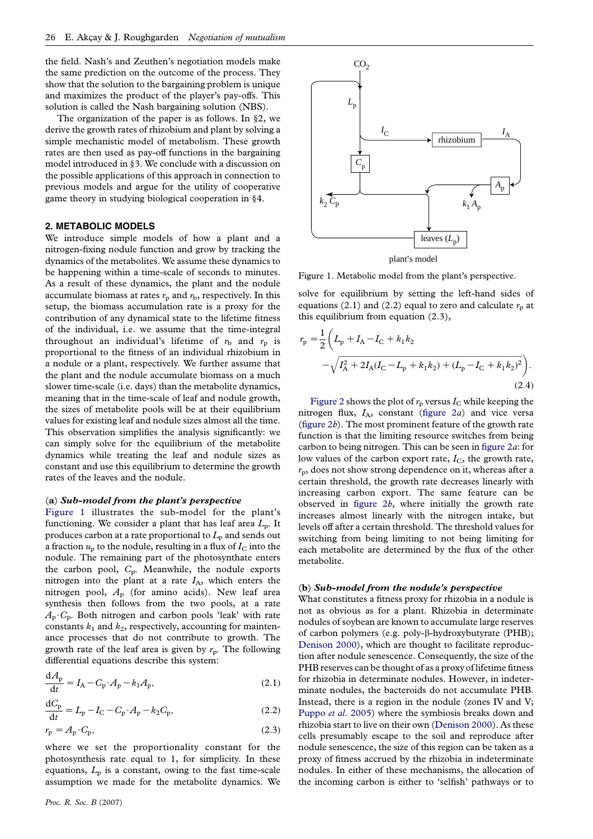the field. Nash's and Zeuthen's negotiation models make the same prediction on the outcome of the process. They show that the solution to the bargaining problem is unique and maximizes the product of the player's pay-offs. This solution is called the Nash bargaining solution (NBS).

The organization of the paper is as follows. In §2, we derive the growth rates of rhizobium and plant by solving a simple mechanistic model of metabolism. These growth rates are then used as pay-off functions in the bargaining model introduced in §3. We conclude with a discussion on the possible applications of this approach in connection to previous models and argue for the utility of cooperative game theory in studying biological cooperation in §4.

#### 2. METABOLIC MODELS

We introduce simple models of how a plant and a nitrogen-fixing nodule function and grow by tracking the dynamics of the metabolites. We assume these dynamics to be happening within a time-scale of seconds to minutes. As a result of these dynamics, the plant and the nodule accumulate biomass at rates  $r<sub>p</sub>$  and  $r<sub>b</sub>$ , respectively. In this setup, the biomass accumulation rate is a proxy for the contribution of any dynamical state to the lifetime fitness of the individual, i.e. we assume that the time-integral throughout an individual's lifetime of  $r<sub>b</sub>$  and  $r<sub>p</sub>$  is proportional to the fitness of an individual rhizobium in a nodule or a plant, respectively. We further assume that the plant and the nodule accumulate biomass on a much slower time-scale (i.e. days) than the metabolite dynamics, meaning that in the time-scale of leaf and nodule growth, the sizes of metabolite pools will be at their equilibrium values for existing leaf and nodule sizes almost all the time. This observation simplifies the analysis significantly: we can simply solve for the equilibrium of the metabolite dynamics while treating the leaf and nodule sizes as constant and use this equilibrium to determine the growth rates of the leaves and the nodule.

#### (a) Sub-model from the plant's perspective

Figure 1 illustrates the sub-model for the plant's functioning. We consider a plant that has leaf area  $L_p$ . It produces carbon at a rate proportional to  $L_p$  and sends out a fraction  $u_p$  to the nodule, resulting in a flux of  $I_c$  into the nodule. The remaining part of the photosynthate enters the carbon pool,  $C_p$ . Meanwhile, the nodule exports nitrogen into the plant at a rate  $I_A$ , which enters the nitrogen pool,  $A<sub>p</sub>$  (for amino acids). New leaf area synthesis then follows from the two pools, at a rate  $A_p \cdot C_p$ . Both nitrogen and carbon pools 'leak' with rate constants  $k_1$  and  $k_2$ , respectively, accounting for maintenance processes that do not contribute to growth. The growth rate of the leaf area is given by  $r_p$ . The following differential equations describe this system:

$$
\frac{\mathrm{d}A_{\mathrm{p}}}{\mathrm{d}t} = I_{\mathrm{A}} - C_{\mathrm{p}} \cdot A_{\mathrm{p}} - k_{1} A_{\mathrm{p}},\tag{2.1}
$$

$$
\frac{\mathrm{d}C_{\mathrm{p}}}{\mathrm{d}t} = L_{\mathrm{p}} - I_{\mathrm{C}} - C_{\mathrm{p}} \cdot A_{\mathrm{p}} - k_{2} C_{\mathrm{p}},\tag{2.2}
$$

$$
r_{\rm p} = A_{\rm p} \cdot C_{\rm p},\tag{2.3}
$$

where we set the proportionality constant for the photosynthesis rate equal to 1, for simplicity. In these equations,  $L<sub>p</sub>$  is a constant, owing to the fast time-scale assumption we made for the metabolite dynamics. We



Figure 1. Metabolic model from the plant's perspective.

solve for equilibrium by setting the left-hand sides of equations (2.1) and (2.2) equal to zero and calculate  $r_p$  at this equilibrium from equation (2.3),

$$
r_{\rm p} = \frac{1}{2} \left( L_{\rm p} + I_{\rm A} - I_{\rm C} + k_1 k_2 - \sqrt{I_{\rm A}^2 + 2I_{\rm A}(I_{\rm C} - L_{\rm p} + k_1 k_2) + (L_{\rm p} - I_{\rm C} + k_1 k_2)^2} \right).
$$
\n(2.4)

[Figure 2](#page-4-0) shows the plot of  $r_p$  versus  $I_c$  while keeping the nitrogen flux,  $I_A$ , constant [\(figure 2](#page-4-0)a) and vice versa [\(figure 2](#page-4-0)b). The most prominent feature of the growth rate function is that the limiting resource switches from being carbon to being nitrogen. This can be seen in [figure 2](#page-4-0)a: for low values of the carbon export rate,  $I_c$ , the growth rate,  $r_p$ , does not show strong dependence on it, whereas after a certain threshold, the growth rate decreases linearly with increasing carbon export. The same feature can be observed in [figure 2](#page-4-0)b, where initially the growth rate increases almost linearly with the nitrogen intake, but levels off after a certain threshold. The threshold values for switching from being limiting to not being limiting for each metabolite are determined by the flux of the other metabolite.

#### (b) Sub-model from the nodule's perspective

What constitutes a fitness proxy for rhizobia in a nodule is not as obvious as for a plant. Rhizobia in determinate nodules of soybean are known to accumulate large reserves of carbon polymers (e.g. poly-*b*-hydroxybutyrate (PHB); [Denison 2000\)](#page-8-0), which are thought to facilitate reproduction after nodule senescence. Consequently, the size of the PHB reserves can be thought of as a proxy of lifetime fitness for rhizobia in determinate nodules. However, in indeterminate nodules, the bacteroids do not accumulate PHB. Instead, there is a region in the nodule (zones IV and V; [Puppo](#page-8-0) et al. 2005) where the symbiosis breaks down and rhizobia start to live on their own [\(Denison 2000\)](#page-8-0). As these cells presumably escape to the soil and reproduce after nodule senescence, the size of this region can be taken as a proxy of fitness accrued by the rhizobia in indeterminate nodules. In either of these mechanisms, the allocation of the incoming carbon is either to 'selfish' pathways or to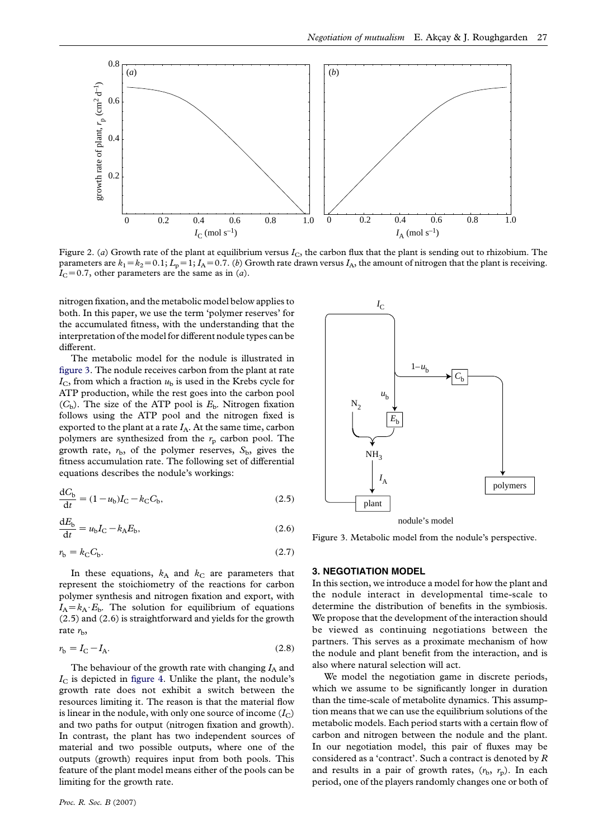<span id="page-4-0"></span>

Figure 2. (a) Growth rate of the plant at equilibrium versus  $I_C$ , the carbon flux that the plant is sending out to rhizobium. The parameters are  $k_1 = k_2 = 0.1$ ;  $L_p = 1$ ;  $I_A = 0.7$ . (b) Growth rate drawn versus  $I_A$ , the amount of nitrogen that the plant is receiving.  $I<sub>C</sub>=0.7$ , other parameters are the same as in (*a*).

nitrogen fixation, and the metabolic model below applies to both. In this paper, we use the term 'polymer reserves' for the accumulated fitness, with the understanding that the interpretation of the model for different nodule types can be different.

The metabolic model for the nodule is illustrated in figure 3. The nodule receives carbon from the plant at rate  $I_{\rm C}$ , from which a fraction  $u_{\rm b}$  is used in the Krebs cycle for ATP production, while the rest goes into the carbon pool  $(C_b)$ . The size of the ATP pool is  $E_b$ . Nitrogen fixation follows using the ATP pool and the nitrogen fixed is exported to the plant at a rate  $I_A$ . At the same time, carbon polymers are synthesized from the  $r_p$  carbon pool. The growth rate,  $r<sub>b</sub>$ , of the polymer reserves,  $S<sub>b</sub>$ , gives the fitness accumulation rate. The following set of differential equations describes the nodule's workings:

$$
\frac{dC_b}{dt} = (1 - u_b)I_C - k_C C_b,
$$
\n(2.5)

$$
\frac{\mathrm{d}E_{\mathrm{b}}}{\mathrm{d}t} = u_{\mathrm{b}}I_{\mathrm{C}} - k_{\mathrm{A}}E_{\mathrm{b}},\tag{2.6}
$$

$$
r_{\rm b} = k_{\rm C} C_{\rm b}.\tag{2.7}
$$

In these equations,  $k_A$  and  $k_C$  are parameters that represent the stoichiometry of the reactions for carbon polymer synthesis and nitrogen fixation and export, with  $I_A = k_A \cdot E_b$ . The solution for equilibrium of equations (2.5) and (2.6) is straightforward and yields for the growth rate  $r_{\rm b}$ ,

$$
r_{\rm b} = I_{\rm C} - I_{\rm A}.\tag{2.8}
$$

The behaviour of the growth rate with changing  $I_A$  and  $I_{\rm C}$  is depicted in [figure 4.](#page-5-0) Unlike the plant, the nodule's growth rate does not exhibit a switch between the resources limiting it. The reason is that the material flow is linear in the nodule, with only one source of income  $(I_C)$ and two paths for output (nitrogen fixation and growth). In contrast, the plant has two independent sources of material and two possible outputs, where one of the outputs (growth) requires input from both pools. This feature of the plant model means either of the pools can be limiting for the growth rate.



Figure 3. Metabolic model from the nodule's perspective.

#### 3. NEGOTIATION MODEL

In this section, we introduce a model for how the plant and the nodule interact in developmental time-scale to determine the distribution of benefits in the symbiosis. We propose that the development of the interaction should be viewed as continuing negotiations between the partners. This serves as a proximate mechanism of how the nodule and plant benefit from the interaction, and is also where natural selection will act.

We model the negotiation game in discrete periods, which we assume to be significantly longer in duration than the time-scale of metabolite dynamics. This assumption means that we can use the equilibrium solutions of the metabolic models. Each period starts with a certain flow of carbon and nitrogen between the nodule and the plant. In our negotiation model, this pair of fluxes may be considered as a 'contract'. Such a contract is denoted by R and results in a pair of growth rates,  $(r<sub>b</sub>, r<sub>p</sub>)$ . In each period, one of the players randomly changes one or both of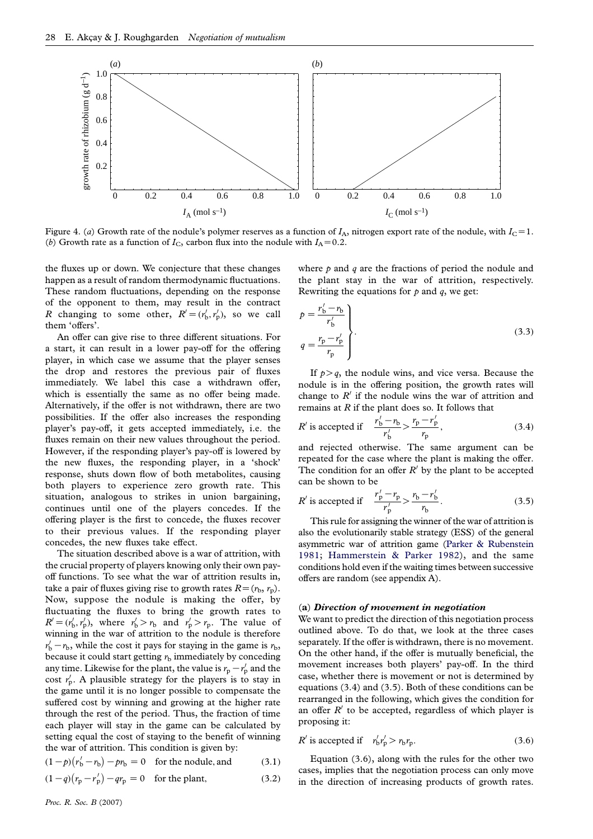<span id="page-5-0"></span>

Figure 4. (a) Growth rate of the nodule's polymer reserves as a function of  $I_A$ , nitrogen export rate of the nodule, with  $I_C = 1$ . (b) Growth rate as a function of  $I_{\rm C}$ , carbon flux into the nodule with  $I_{\rm A}=0.2$ .

the fluxes up or down. We conjecture that these changes happen as a result of random thermodynamic fluctuations. These random fluctuations, depending on the response of the opponent to them, may result in the contract R changing to some other,  $R' = (r'_b, r'_p)$ , so we call them 'offers'.

An offer can give rise to three different situations. For a start, it can result in a lower pay-off for the offering player, in which case we assume that the player senses the drop and restores the previous pair of fluxes immediately. We label this case a withdrawn offer, which is essentially the same as no offer being made. Alternatively, if the offer is not withdrawn, there are two possibilities. If the offer also increases the responding player's pay-off, it gets accepted immediately, i.e. the fluxes remain on their new values throughout the period. However, if the responding player's pay-off is lowered by the new fluxes, the responding player, in a 'shock' response, shuts down flow of both metabolites, causing both players to experience zero growth rate. This situation, analogous to strikes in union bargaining, continues until one of the players concedes. If the offering player is the first to concede, the fluxes recover to their previous values. If the responding player concedes, the new fluxes take effect.

The situation described above is a war of attrition, with the crucial property of players knowing only their own payoff functions. To see what the war of attrition results in, take a pair of fluxes giving rise to growth rates  $R = (r_b, r_p)$ . Now, suppose the nodule is making the offer, by fluctuating the fluxes to bring the growth rates to  $R' = (r'_{b}, r'_{p})$ , where  $r'_{b} > r_{b}$  and  $r'_{p} > r_{p}$ . The value of winning in the war of attrition to the nodule is therefore  $r'_b - r_b$ , while the cost it pays for staying in the game is  $r_b$ , because it could start getting  $r<sub>b</sub>$  immediately by conceding any time. Likewise for the plant, the value is  $r_{\rm p} - r_{\rm p}^{\prime}$  and the cost  $r'_{\rm p}$ . A plausible strategy for the players is to stay in the game until it is no longer possible to compensate the suffered cost by winning and growing at the higher rate through the rest of the period. Thus, the fraction of time each player will stay in the game can be calculated by setting equal the cost of staying to the benefit of winning the war of attrition. This condition is given by:

$$
(1-p)(r'_{b} - r_{b}) - pr_{b} = 0
$$
 for the nodule, and (3.1)

$$
(1 - q)(r_{\rm p} - r_{\rm p}') - qr_{\rm p} = 0 \quad \text{for the plant}, \tag{3.2}
$$

where  $p$  and  $q$  are the fractions of period the nodule and the plant stay in the war of attrition, respectively. Rewriting the equations for  $p$  and  $q$ , we get:

$$
p = \frac{r_b' - r_b}{r_b'}q = \frac{r_p - r_p'}{r_p}
$$
\n(3.3)

If  $p > q$ , the nodule wins, and vice versa. Because the nodule is in the offering position, the growth rates will change to  $R'$  if the nodule wins the war of attrition and remains at  $R$  if the plant does so. It follows that

R' is accepted if 
$$
\frac{r'_{b} - r_{b}}{r'_{b}} > \frac{r_{p} - r'_{p}}{r_{p}}
$$
, (3.4)

and rejected otherwise. The same argument can be repeated for the case where the plant is making the offer. The condition for an offer  $R'$  by the plant to be accepted can be shown to be

$$
R' \text{ is accepted if } \frac{r_p' - r_p}{r_p'} > \frac{r_b - r_b'}{r_b}. \tag{3.5}
$$

This rule for assigning the winner of the war of attrition is also the evolutionarily stable strategy (ESS) of the general asymmetric war of attrition game ([Parker & Rubenstein](#page-8-0) [1981;](#page-8-0) [Hammerstein & Parker 1982](#page-8-0)), and the same conditions hold even if the waiting times between successive offers are random (see appendix A).

#### (a) Direction of movement in negotiation

We want to predict the direction of this negotiation process outlined above. To do that, we look at the three cases separately. If the offer is withdrawn, there is no movement. On the other hand, if the offer is mutually beneficial, the movement increases both players' pay-off. In the third case, whether there is movement or not is determined by equations (3.4) and (3.5). Both of these conditions can be rearranged in the following, which gives the condition for an offer  $R'$  to be accepted, regardless of which player is proposing it:

$$
R' \text{ is accepted if} \quad r'_{\text{b}} r'_{\text{p}} > r_{\text{b}} r_{\text{p}}.\tag{3.6}
$$

Equation (3.6), along with the rules for the other two cases, implies that the negotiation process can only move in the direction of increasing products of growth rates.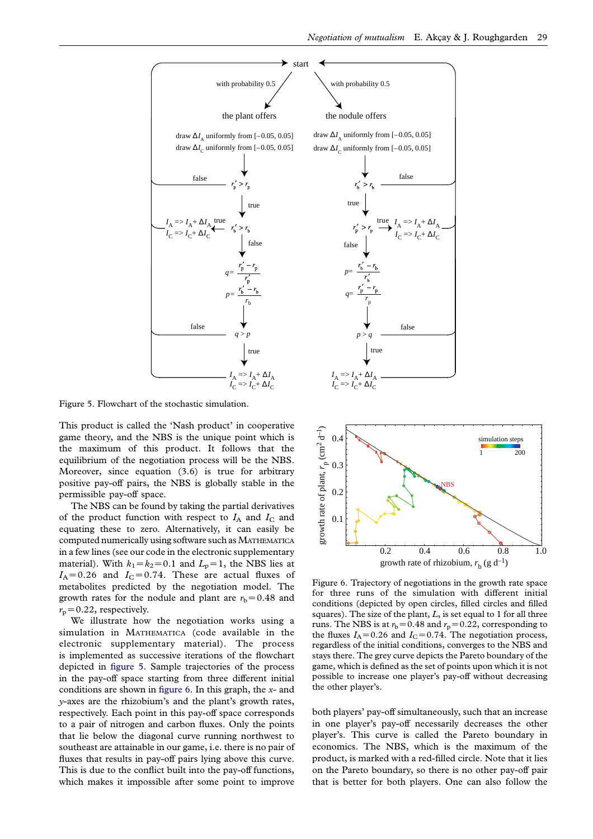<span id="page-6-0"></span>

Figure 5. Flowchart of the stochastic simulation.

This product is called the 'Nash product' in cooperative game theory, and the NBS is the unique point which is the maximum of this product. It follows that the equilibrium of the negotiation process will be the NBS. Moreover, since equation (3.6) is true for arbitrary positive pay-off pairs, the NBS is globally stable in the permissible pay-off space.

The NBS can be found by taking the partial derivatives of the product function with respect to  $I_A$  and  $I_C$  and equating these to zero. Alternatively, it can easily be computed numerically using software such as MATHEMATICA in a few lines (see our code in the electronic supplementary material). With  $k_1=k_2=0.1$  and  $L_p=1$ , the NBS lies at  $I_A=0.26$  and  $I_C=0.74$ . These are actual fluxes of metabolites predicted by the negotiation model. The growth rates for the nodule and plant are  $r_b=0.48$  and  $r_{\rm p}$  = 0.22, respectively.

We illustrate how the negotiation works using a simulation in MATHEMATICA (code available in the electronic supplementary material). The process is implemented as successive iterations of the flowchart depicted in figure 5. Sample trajectories of the process in the pay-off space starting from three different initial conditions are shown in figure 6. In this graph, the  $x$ - and y-axes are the rhizobium's and the plant's growth rates, respectively. Each point in this pay-off space corresponds to a pair of nitrogen and carbon fluxes. Only the points that lie below the diagonal curve running northwest to southeast are attainable in our game, i.e. there is no pair of fluxes that results in pay-off pairs lying above this curve. This is due to the conflict built into the pay-off functions, which makes it impossible after some point to improve



Figure 6. Trajectory of negotiations in the growth rate space for three runs of the simulation with different initial conditions (depicted by open circles, filled circles and filled squares). The size of the plant,  $L$ , is set equal to 1 for all three runs. The NBS is at  $r_b$ =0.48 and  $r_p$ =0.22, corresponding to the fluxes  $I_A=0.26$  and  $I_C=0.74$ . The negotiation process, regardless of the initial conditions, converges to the NBS and stays there. The grey curve depicts the Pareto boundary of the game, which is defined as the set of points upon which it is not possible to increase one player's pay-off without decreasing the other player's.

both players' pay-off simultaneously, such that an increase in one player's pay-off necessarily decreases the other player's. This curve is called the Pareto boundary in economics. The NBS, which is the maximum of the product, is marked with a red-filled circle. Note that it lies on the Pareto boundary, so there is no other pay-off pair that is better for both players. One can also follow the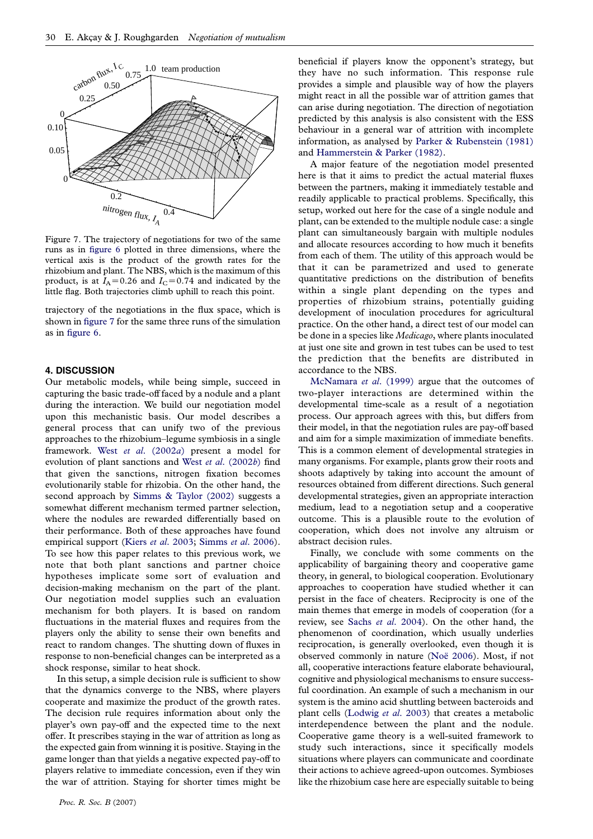

Figure 7. The trajectory of negotiations for two of the same runs as in [figure 6](#page-6-0) plotted in three dimensions, where the vertical axis is the product of the growth rates for the rhizobium and plant. The NBS, which is the maximum of this product, is at  $I_A=0.26$  and  $I_C=0.74$  and indicated by the little flag. Both trajectories climb uphill to reach this point.

trajectory of the negotiations in the flux space, which is shown in figure 7 for the same three runs of the simulation as in [figure 6.](#page-6-0)

#### 4. DISCUSSION

Our metabolic models, while being simple, succeed in capturing the basic trade-off faced by a nodule and a plant during the interaction. We build our negotiation model upon this mechanistic basis. Our model describes a general process that can unify two of the previous approaches to the rhizobium–legume symbiosis in a single framework. West et al[. \(2002](#page-9-0)a) present a model for evolution of plant sanctions and West et al[. \(2002](#page-9-0)b) find that given the sanctions, nitrogen fixation becomes evolutionarily stable for rhizobia. On the other hand, the second approach by [Simms & Taylor \(2002\)](#page-9-0) suggests a somewhat different mechanism termed partner selection, where the nodules are rewarded differentially based on their performance. Both of these approaches have found empirical support (Kiers et al[. 2003](#page-8-0); [Simms](#page-9-0) et al. 2006). To see how this paper relates to this previous work, we note that both plant sanctions and partner choice hypotheses implicate some sort of evaluation and decision-making mechanism on the part of the plant. Our negotiation model supplies such an evaluation mechanism for both players. It is based on random fluctuations in the material fluxes and requires from the players only the ability to sense their own benefits and react to random changes. The shutting down of fluxes in response to non-beneficial changes can be interpreted as a shock response, similar to heat shock.

In this setup, a simple decision rule is sufficient to show that the dynamics converge to the NBS, where players cooperate and maximize the product of the growth rates. The decision rule requires information about only the player's own pay-off and the expected time to the next offer. It prescribes staying in the war of attrition as long as the expected gain from winning it is positive. Staying in the game longer than that yields a negative expected pay-off to players relative to immediate concession, even if they win the war of attrition. Staying for shorter times might be

beneficial if players know the opponent's strategy, but they have no such information. This response rule provides a simple and plausible way of how the players might react in all the possible war of attrition games that can arise during negotiation. The direction of negotiation predicted by this analysis is also consistent with the ESS behaviour in a general war of attrition with incomplete information, as analysed by [Parker & Rubenstein \(1981\)](#page-8-0) and [Hammerstein & Parker \(1982\)](#page-8-0).

A major feature of the negotiation model presented here is that it aims to predict the actual material fluxes between the partners, making it immediately testable and readily applicable to practical problems. Specifically, this setup, worked out here for the case of a single nodule and plant, can be extended to the multiple nodule case: a single plant can simultaneously bargain with multiple nodules and allocate resources according to how much it benefits from each of them. The utility of this approach would be that it can be parametrized and used to generate quantitative predictions on the distribution of benefits within a single plant depending on the types and properties of rhizobium strains, potentially guiding development of inoculation procedures for agricultural practice. On the other hand, a direct test of our model can be done in a species like Medicago, where plants inoculated at just one site and grown in test tubes can be used to test the prediction that the benefits are distributed in accordance to the NBS.

[McNamara](#page-8-0) et al. (1999) argue that the outcomes of two-player interactions are determined within the developmental time-scale as a result of a negotiation process. Our approach agrees with this, but differs from their model, in that the negotiation rules are pay-off based and aim for a simple maximization of immediate benefits. This is a common element of developmental strategies in many organisms. For example, plants grow their roots and shoots adaptively by taking into account the amount of resources obtained from different directions. Such general developmental strategies, given an appropriate interaction medium, lead to a negotiation setup and a cooperative outcome. This is a plausible route to the evolution of cooperation, which does not involve any altruism or abstract decision rules.

Finally, we conclude with some comments on the applicability of bargaining theory and cooperative game theory, in general, to biological cooperation. Evolutionary approaches to cooperation have studied whether it can persist in the face of cheaters. Reciprocity is one of the main themes that emerge in models of cooperation (for a review, see Sachs et al[. 2004](#page-8-0)). On the other hand, the phenomenon of coordination, which usually underlies reciprocation, is generally overlooked, even though it is observed commonly in nature (Noë 2006). Most, if not all, cooperative interactions feature elaborate behavioural, cognitive and physiological mechanisms to ensure successful coordination. An example of such a mechanism in our system is the amino acid shuttling between bacteroids and plant cells ([Lodwig](#page-8-0) et al. 2003) that creates a metabolic interdependence between the plant and the nodule. Cooperative game theory is a well-suited framework to study such interactions, since it specifically models situations where players can communicate and coordinate their actions to achieve agreed-upon outcomes. Symbioses like the rhizobium case here are especially suitable to being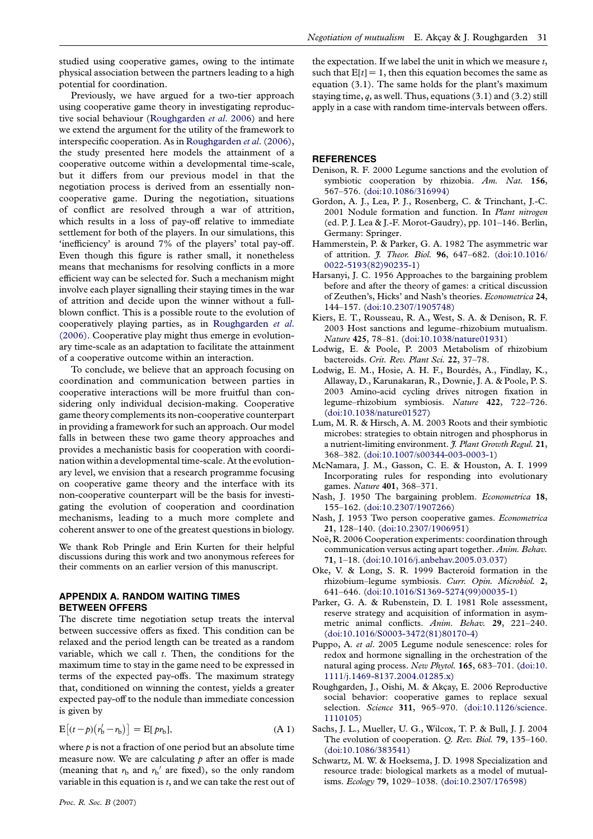<span id="page-8-0"></span>studied using cooperative games, owing to the intimate physical association between the partners leading to a high potential for coordination.

Previously, we have argued for a two-tier approach using cooperative game theory in investigating reproductive social behaviour (Roughgarden et al. 2006) and here we extend the argument for the utility of the framework to interspecific cooperation. As in Roughgarden et al. (2006), the study presented here models the attainment of a cooperative outcome within a developmental time-scale, but it differs from our previous model in that the negotiation process is derived from an essentially noncooperative game. During the negotiation, situations of conflict are resolved through a war of attrition, which results in a loss of pay-off relative to immediate settlement for both of the players. In our simulations, this 'inefficiency' is around 7% of the players' total pay-off. Even though this figure is rather small, it nonetheless means that mechanisms for resolving conflicts in a more efficient way can be selected for. Such a mechanism might involve each player signalling their staying times in the war of attrition and decide upon the winner without a fullblown conflict. This is a possible route to the evolution of cooperatively playing parties, as in Roughgarden et al. (2006). Cooperative play might thus emerge in evolutionary time-scale as an adaptation to facilitate the attainment of a cooperative outcome within an interaction.

To conclude, we believe that an approach focusing on coordination and communication between parties in cooperative interactions will be more fruitful than considering only individual decision-making. Cooperative game theory complements its non-cooperative counterpart in providing a framework for such an approach. Our model falls in between these two game theory approaches and provides a mechanistic basis for cooperation with coordination within a developmental time-scale. At the evolutionary level, we envision that a research programme focusing on cooperative game theory and the interface with its non-cooperative counterpart will be the basis for investigating the evolution of cooperation and coordination mechanisms, leading to a much more complete and coherent answer to one of the greatest questions in biology.

We thank Rob Pringle and Erin Kurten for their helpful discussions during this work and two anonymous referees for their comments on an earlier version of this manuscript.

#### APPENDIX A. RANDOM WAITING TIMES BETWEEN OFFERS

The discrete time negotiation setup treats the interval between successive offers as fixed. This condition can be relaxed and the period length can be treated as a random variable, which we call  $t$ . Then, the conditions for the maximum time to stay in the game need to be expressed in terms of the expected pay-offs. The maximum strategy that, conditioned on winning the contest, yields a greater expected pay-off to the nodule than immediate concession is given by

$$
E[(t-p)(r'_{b}-r_{b})] = E[pr_{b}], \qquad (A 1)
$$

where  $p$  is not a fraction of one period but an absolute time measure now. We are calculating  $p$  after an offer is made (meaning that  $r<sub>b</sub>$  and  $r<sub>b</sub>'$  are fixed), so the only random variable in this equation is  $t$ , and we can take the rest out of the expectation. If we label the unit in which we measure  $t$ , such that  $E[t] = 1$ , then this equation becomes the same as equation (3.1). The same holds for the plant's maximum staying time,  $q$ , as well. Thus, equations (3.1) and (3.2) still apply in a case with random time-intervals between offers.

#### REFERENCES

- Denison, R. F. 2000 Legume sanctions and the evolution of symbiotic cooperation by rhizobia. Am. Nat. 156, 567–576. [\(doi:10.1086/316994\)](http://dx.doi.org/doi:10.1086/316994)
- Gordon, A. J., Lea, P. J., Rosenberg, C. & Trinchant, J.-C. 2001 Nodule formation and function. In Plant nitrogen (ed. P. J. Lea & J.-F. Morot-Gaudry), pp. 101–146. Berlin, Germany: Springer.
- Hammerstein, P. & Parker, G. A. 1982 The asymmetric war of attrition. J. Theor. Biol. 96, 647–682. ([doi:10.1016/](http://dx.doi.org/doi:10.1016/0022-5193(82)90235-1) [0022-5193\(82\)90235-1\)](http://dx.doi.org/doi:10.1016/0022-5193(82)90235-1)
- Harsanyi, J. C. 1956 Approaches to the bargaining problem before and after the theory of games: a critical discussion of Zeuthen's, Hicks' and Nash's theories. Econometrica 24, 144–157. [\(doi:10.2307/1905748\)](http://dx.doi.org/doi:10.2307/1905748)
- Kiers, E. T., Rousseau, R. A., West, S. A. & Denison, R. F. 2003 Host sanctions and legume–rhizobium mutualism. Nature 425, 78–81. [\(doi:10.1038/nature01931\)](http://dx.doi.org/doi:10.1038/nature01931)
- Lodwig, E. & Poole, P. 2003 Metabolism of rhizobium bacteroids. Crit. Rev. Plant Sci. 22, 37–78.
- Lodwig, E. M., Hosie, A. H. F., Bourdés, A., Findlay, K., Allaway, D., Karunakaran, R., Downie, J. A. & Poole, P. S. 2003 Amino-acid cycling drives nitrogen fixation in legume–rhizobium symbiosis. Nature 422, 722–726. ([doi:10.1038/nature01527](http://dx.doi.org/doi:10.1038/nature01527))
- Lum, M. R. & Hirsch, A. M. 2003 Roots and their symbiotic microbes: strategies to obtain nitrogen and phosphorus in a nutrient-limiting environment. J. Plant Growth Regul. 21, 368–382. [\(doi:10.1007/s00344-003-0003-1\)](http://dx.doi.org/doi:10.1007/s00344-003-0003-1)
- McNamara, J. M., Gasson, C. E. & Houston, A. I. 1999 Incorporating rules for responding into evolutionary games. Nature 401, 368–371.
- Nash, J. 1950 The bargaining problem. Econometrica 18, 155–162. [\(doi:10.2307/1907266\)](http://dx.doi.org/doi:10.2307/1907266)
- Nash, J. 1953 Two person cooperative games. Econometrica 21, 128–140. ([doi:10.2307/1906951](http://dx.doi.org/doi:10.2307/1906951))
- Noë, R. 2006 Cooperation experiments: coordination through communication versus acting apart together. Anim. Behav. 71, 1–18. [\(doi:10.1016/j.anbehav.2005.03.037\)](http://dx.doi.org/doi:10.1016/j.anbehav.2005.03.037)
- Oke, V. & Long, S. R. 1999 Bacteroid formation in the rhizobium–legume symbiosis. Curr. Opin. Microbiol. 2, 641–646. [\(doi:10.1016/S1369-5274\(99\)00035-1\)](http://dx.doi.org/doi:10.1016/S1369-5274(99)00035-1)
- Parker, G. A. & Rubenstein, D. I. 1981 Role assessment, reserve strategy and acquisition of information in asymmetric animal conflicts. Anim. Behav. 29, 221–240. ([doi:10.1016/S0003-3472\(81\)80170-4\)](http://dx.doi.org/doi:10.1016/S0003-3472(81)80170-4)
- Puppo, A. et al. 2005 Legume nodule senescence: roles for redox and hormone signalling in the orchestration of the natural aging process. New Phytol. 165, 683-701. ([doi:10.](http://dx.doi.org/doi:10.1111/j.1469-8137.2004.01285.x) [1111/j.1469-8137.2004.01285.x](http://dx.doi.org/doi:10.1111/j.1469-8137.2004.01285.x))
- Roughgarden, J., Oishi, M. & Akçay, E. 2006 Reproductive social behavior: cooperative games to replace sexual selection. Science 311, 965-970. ([doi:10.1126/science.](http://dx.doi.org/doi:10.1126/science.1110105) [1110105\)](http://dx.doi.org/doi:10.1126/science.1110105)
- Sachs, J. L., Mueller, U. G., Wilcox, T. P. & Bull, J. J. 2004 The evolution of cooperation. Q. Rev. Biol. 79, 135–160. ([doi:10.1086/383541](http://dx.doi.org/doi:10.1086/383541))
- Schwartz, M. W. & Hoeksema, J. D. 1998 Specialization and resource trade: biological markets as a model of mutualisms. Ecology 79, 1029–1038. ([doi:10.2307/176598](http://dx.doi.org/doi:10.2307/176598))